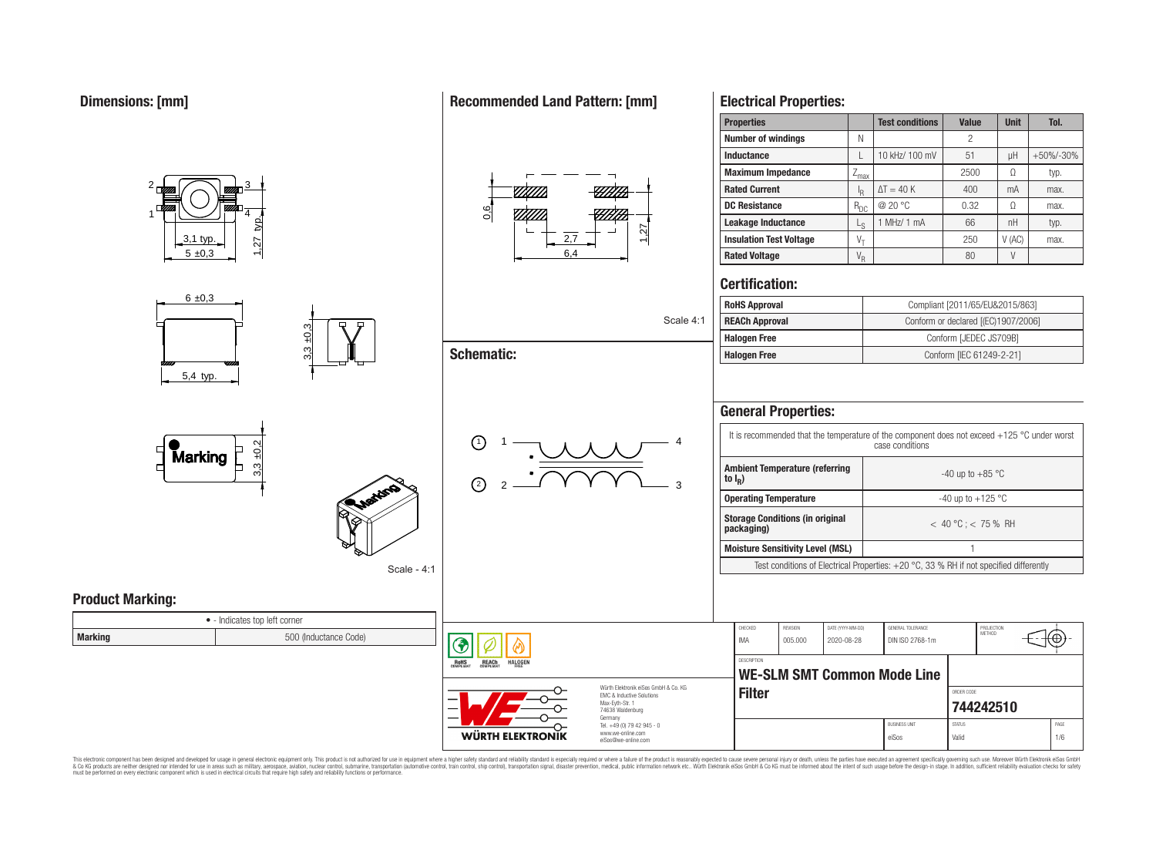

This electronic component has been designed and developed for usage in general electronic equipment only. This product is not authorized for use in equipment where a higher safety standard and reliability standard is espec & Ook product a label and the membed of the seasuch as marked and as which such a membed and the such assume that income in the seasuch and the simulation and the such assume that include to the such a membed and the such

## **Recommended Land Pattern: [mm]**

**Electrical Properties:**

**Properties Test conditions Value Unit Tol.**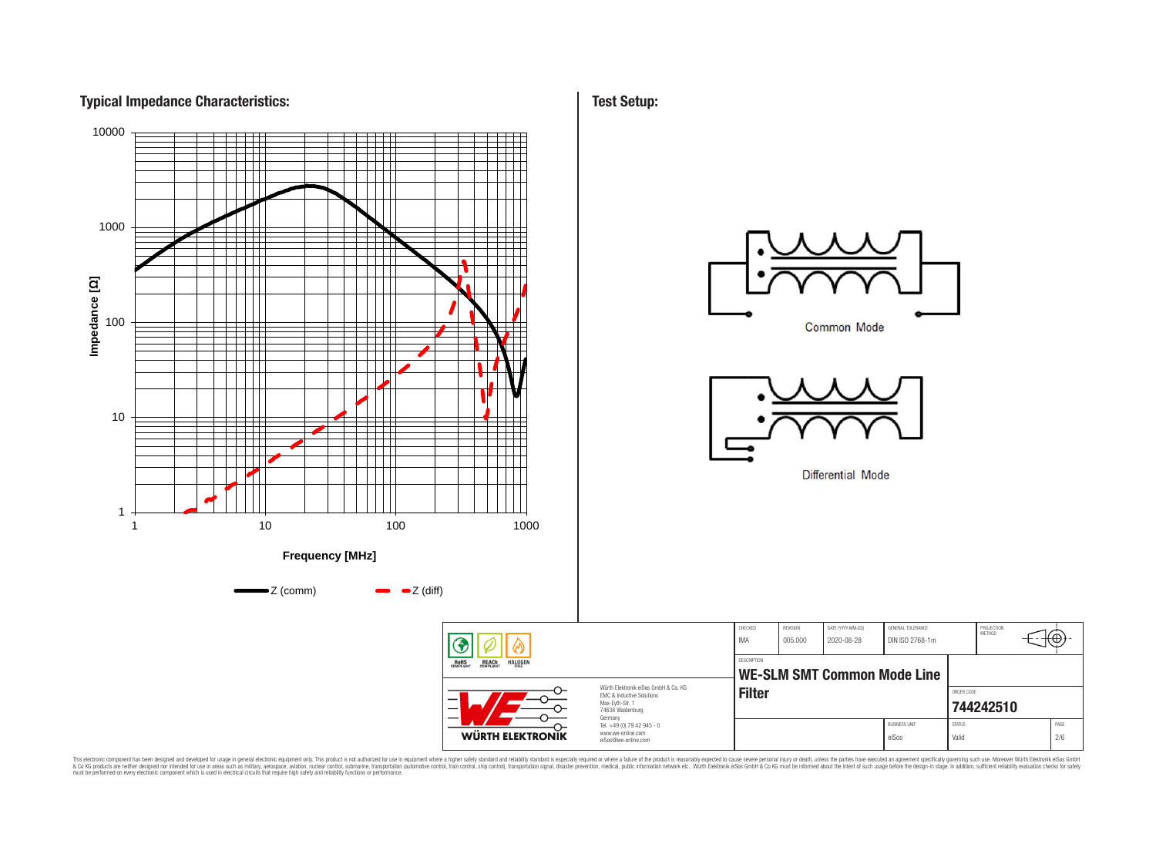



**Test Setup:**

This electronic component has been designed and developed for usage in general electronic equipment only. This product is not authorized for subserved requipment where a higher selection equipment where a higher selection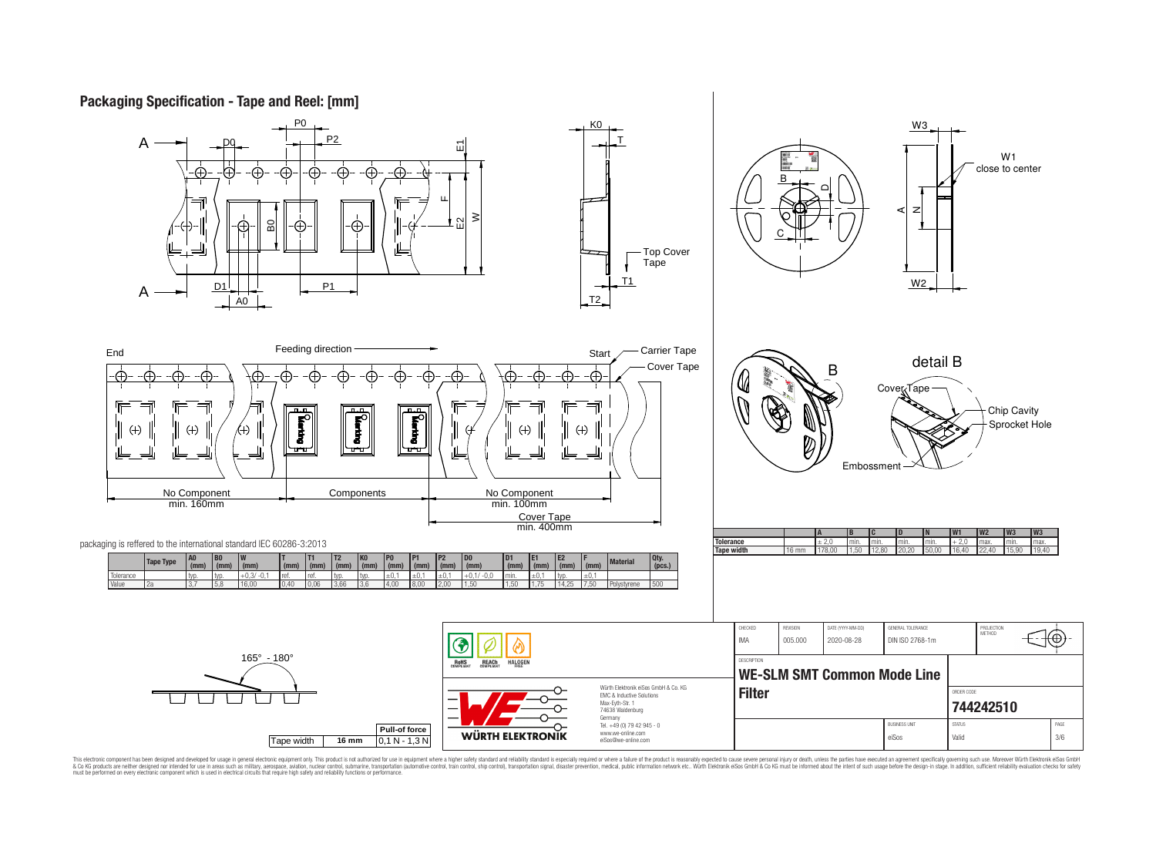# **Packaging Specification - Tape and Reel: [mm]**



This electronic component has been designed and developed for usage in general electronic equipment only. This product is not authorized for subserved requipment where a higher selection equipment where a higher selection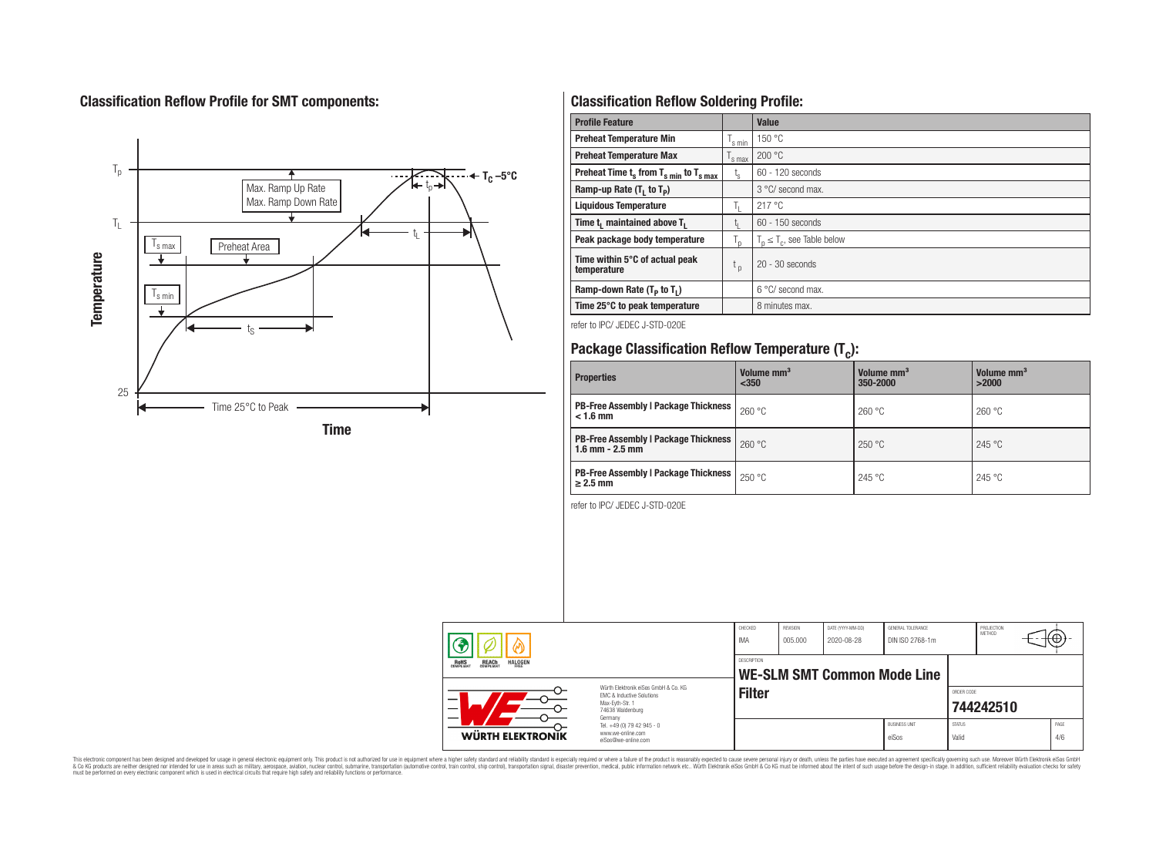# **Classification Reflow Profile for SMT components:**



# **Classification Reflow Soldering Profile:**

| <b>Profile Feature</b>                                               |                    | <b>Value</b>                     |
|----------------------------------------------------------------------|--------------------|----------------------------------|
| <b>Preheat Temperature Min</b>                                       | 's min             | 150 °C                           |
| <b>Preheat Temperature Max</b>                                       | <sup>1</sup> s max | 200 °C                           |
| Preheat Time $t_s$ from $T_s$ <sub>min</sub> to $T_s$ <sub>max</sub> | $t_{s}$            | $60 - 120$ seconds               |
| Ramp-up Rate $(T_1$ to $T_p$ )                                       |                    | $3^{\circ}$ C/ second max.       |
| <b>Liquidous Temperature</b>                                         | T,                 | 217 °C                           |
| Time t <sub>1</sub> maintained above T <sub>1</sub>                  | t.                 | 60 - 150 seconds                 |
| Peak package body temperature                                        | $T_{\text{d}}$     | $T_n \leq T_c$ , see Table below |
| Time within 5°C of actual peak<br>temperature                        | t <sub>p</sub>     | $20 - 30$ seconds                |
| Ramp-down Rate $(T_P$ to $T_I$ )                                     |                    | $6^{\circ}$ C/ second max.       |
| Time 25°C to peak temperature                                        |                    | 8 minutes max.                   |

refer to IPC/ JEDEC J-STD-020E

# **Package Classification Reflow Temperature (T<sup>c</sup> ):**

| <b>Properties</b>                                                  | Volume mm <sup>3</sup><br>$350$ | Volume mm <sup>3</sup><br>350-2000 | Volume mm <sup>3</sup><br>>2000 |
|--------------------------------------------------------------------|---------------------------------|------------------------------------|---------------------------------|
| <b>PB-Free Assembly   Package Thickness</b><br>$< 1.6$ mm          | 260 °C                          | 260 °C                             | 260 °C                          |
| <b>PB-Free Assembly   Package Thickness</b><br>$1.6$ mm $- 2.5$ mm | 260 °C                          | 250 °C                             | 245 °C                          |
| <b>PB-Free Assembly   Package Thickness  </b><br>$\geq$ 2.5 mm     | 250 °C                          | 245 °C                             | 245 °C                          |

refer to IPC/ JEDEC J-STD-020E

| <b>REACH</b><br>COMPLIANT<br><b>HALOGEN</b><br><b>ROHS</b><br>COMPLIANT<br>FRFF |                                                                                                          | <b>IMA</b><br>DESCRIPTION | DIN ISO 2768-1m<br>005.000<br>2020-08-28<br>WE-SLM SMT Common Mode Line |  |                               |                        | METHOD    | €Θ          |
|---------------------------------------------------------------------------------|----------------------------------------------------------------------------------------------------------|---------------------------|-------------------------------------------------------------------------|--|-------------------------------|------------------------|-----------|-------------|
| —<br>$\overline{\phantom{0}}$                                                   | Würth Elektronik eiSos GmbH & Co. KG<br>EMC & Inductive Solutions<br>Max-Eyth-Str. 1<br>74638 Waldenburg | <b>Filter</b>             |                                                                         |  |                               | ORDER CODE             | 744242510 |             |
| WÜRTH ELEKTRONIK                                                                | Germany<br>Tel. +49 (0) 79 42 945 - 0<br>www.we-online.com<br>eiSos@we-online.com                        |                           |                                                                         |  | <b>BUSINESS UNIT</b><br>eiSos | <b>STATUS</b><br>Valid |           | PAGE<br>4/6 |

This electronic component has been designed and developed for usage in general electronic equipment only. This product is not authorized for subserved requipment where a higher selection equipment where a higher selection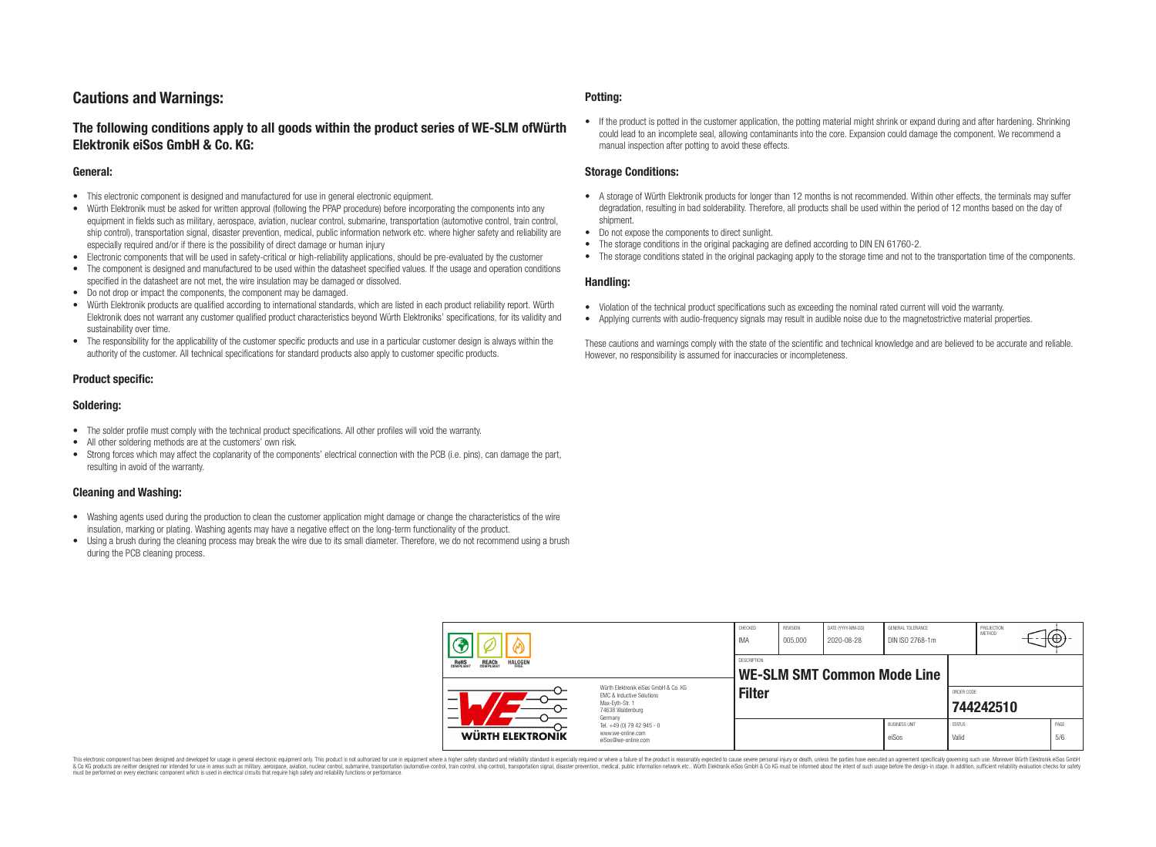# **Cautions and Warnings:**

## **The following conditions apply to all goods within the product series of WE-SLM ofWürth Elektronik eiSos GmbH & Co. KG:**

#### **General:**

- This electronic component is designed and manufactured for use in general electronic equipment.
- Würth Elektronik must be asked for written approval (following the PPAP procedure) before incorporating the components into any equipment in fields such as military, aerospace, aviation, nuclear control, submarine, transportation (automotive control, train control, ship control), transportation signal, disaster prevention, medical, public information network etc. where higher safety and reliability are especially required and/or if there is the possibility of direct damage or human injury
- Electronic components that will be used in safety-critical or high-reliability applications, should be pre-evaluated by the customer
- The component is designed and manufactured to be used within the datasheet specified values. If the usage and operation conditions specified in the datasheet are not met, the wire insulation may be damaged or dissolved.
- Do not drop or impact the components, the component may be damaged.
- Würth Elektronik products are qualified according to international standards, which are listed in each product reliability report. Würth Elektronik does not warrant any customer qualified product characteristics beyond Würth Elektroniks' specifications, for its validity and sustainability over time.
- The responsibility for the applicability of the customer specific products and use in a particular customer design is always within the authority of the customer. All technical specifications for standard products also apply to customer specific products.

## **Product specific:**

## **Soldering:**

- The solder profile must comply with the technical product specifications. All other profiles will void the warranty.
- All other soldering methods are at the customers' own risk.
- Strong forces which may affect the coplanarity of the components' electrical connection with the PCB (i.e. pins), can damage the part, resulting in avoid of the warranty.

## **Cleaning and Washing:**

- Washing agents used during the production to clean the customer application might damage or change the characteristics of the wire insulation, marking or plating. Washing agents may have a negative effect on the long-term functionality of the product.
- Using a brush during the cleaning process may break the wire due to its small diameter. Therefore, we do not recommend using a brush during the PCB cleaning process.

#### **Potting:**

• If the product is potted in the customer application, the potting material might shrink or expand during and after hardening. Shrinking could lead to an incomplete seal, allowing contaminants into the core. Expansion could damage the component. We recommend a manual inspection after potting to avoid these effects.

#### **Storage Conditions:**

- A storage of Würth Elektronik products for longer than 12 months is not recommended. Within other effects, the terminals may suffer degradation, resulting in bad solderability. Therefore, all products shall be used within the period of 12 months based on the day of shipment.
- Do not expose the components to direct sunlight.
- The storage conditions in the original packaging are defined according to DIN EN 61760-2.
- The storage conditions stated in the original packaging apply to the storage time and not to the transportation time of the components.

#### **Handling:**

- Violation of the technical product specifications such as exceeding the nominal rated current will void the warranty.
- Applying currents with audio-frequency signals may result in audible noise due to the magnetostrictive material properties.

These cautions and warnings comply with the state of the scientific and technical knowledge and are believed to be accurate and reliable. However, no responsibility is assumed for inaccuracies or incompleteness.

|                                                                                                                                                                                     |                                                                                   | CHECKED<br><b>IMA</b> | REVISION<br>005.000 | DATE (YYYY-MM-DD)<br>2020-08-28 | GENERAL TOLERANCE<br>DIN ISO 2768-1m |                        | PROJECTION<br>METHOD | ιΨ          |
|-------------------------------------------------------------------------------------------------------------------------------------------------------------------------------------|-----------------------------------------------------------------------------------|-----------------------|---------------------|---------------------------------|--------------------------------------|------------------------|----------------------|-------------|
| <b>HALOGEN</b><br><b>ROHS</b><br>COMPLIANT<br><b>REACH</b><br>COMPLIANT<br>Würth Elektronik eiSos GmbH & Co. KG<br>FMC & Inductive Solutions<br>Max-Eyth-Str. 1<br>74638 Waldenburg |                                                                                   | <b>DESCRIPTION</b>    |                     |                                 | <b>WE-SLM SMT Common Mode Line</b>   |                        |                      |             |
|                                                                                                                                                                                     |                                                                                   | <b>Filter</b>         |                     |                                 |                                      | ORDER CODE             | 744242510            |             |
| WÜRTH ELEKTRONIK                                                                                                                                                                    | Germany<br>Tel. +49 (0) 79 42 945 - 0<br>www.we-online.com<br>eiSos@we-online.com |                       |                     |                                 | <b>BUSINESS UNIT</b><br>eiSos        | <b>STATUS</b><br>Valid |                      | PAGE<br>5/6 |

This electronic component has been designed and developed for usage in general electronic equipment only. This product is not authorized for use in equipment where a higher safety standard and reliability standard si espec & Ook product a label and the membed of the seasuch as marked and as which such a membed and the such assume that income in the seasuch and the simulation and the such assume that include to the such a membed and the such